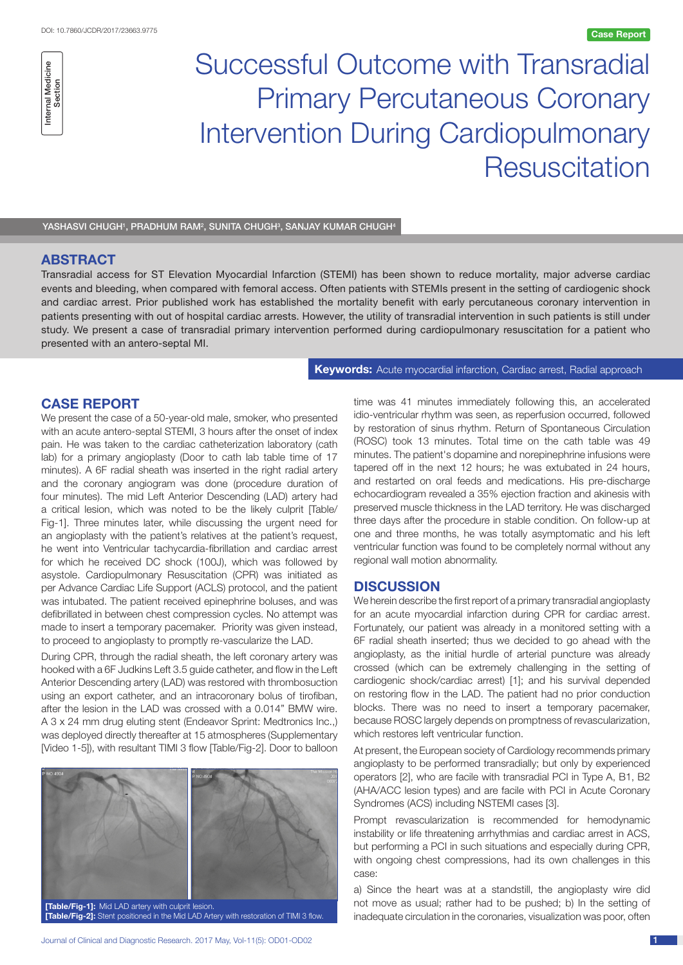

# Successful Outcome with Transradial Primary Percutaneous Coronary Intervention During Cardiopulmonary **Resuscitation**

YASHASVI CHUGH', PRADHUM RAM<sup>2</sup>, SUNITA CHUGH<sup>3</sup>, SANJAY KUMAR CHUGH<sup>4</sup>

## **ABSTRACT**

Transradial access for ST Elevation Myocardial Infarction (STEMI) has been shown to reduce mortality, major adverse cardiac events and bleeding, when compared with femoral access. Often patients with STEMIs present in the setting of cardiogenic shock and cardiac arrest. Prior published work has established the mortality benefit with early percutaneous coronary intervention in patients presenting with out of hospital cardiac arrests. However, the utility of transradial intervention in such patients is still under study. We present a case of transradial primary intervention performed during cardiopulmonary resuscitation for a patient who presented with an antero-septal MI.

**Keywords:** Acute myocardial infarction, Cardiac arrest, Radial approach

## **CASE REPORT**

We present the case of a 50-year-old male, smoker, who presented with an acute antero-septal STEMI, 3 hours after the onset of index pain. He was taken to the cardiac catheterization laboratory (cath lab) for a primary angioplasty (Door to cath lab table time of 17 minutes). A 6F radial sheath was inserted in the right radial artery and the coronary angiogram was done (procedure duration of four minutes). The mid Left Anterior Descending (LAD) artery had a critical lesion, which was noted to be the likely culprit [Table/ Fig-1]. Three minutes later, while discussing the urgent need for an angioplasty with the patient's relatives at the patient's request, he went into Ventricular tachycardia-fibrillation and cardiac arrest for which he received DC shock (100J), which was followed by asystole. Cardiopulmonary Resuscitation (CPR) was initiated as per Advance Cardiac Life Support (ACLS) protocol, and the patient was intubated. The patient received epinephrine boluses, and was defibrillated in between chest compression cycles. No attempt was made to insert a temporary pacemaker. Priority was given instead, to proceed to angioplasty to promptly re-vascularize the LAD.

During CPR, through the radial sheath, the left coronary artery was hooked with a 6F Judkins Left 3.5 guide catheter, and flow in the Left Anterior Descending artery (LAD) was restored with thrombosuction using an export catheter, and an intracoronary bolus of tirofiban, after the lesion in the LAD was crossed with a 0.014" BMW wire. A 3 x 24 mm drug eluting stent (Endeavor Sprint: Medtronics Inc.,) was deployed directly thereafter at 15 atmospheres (Supplementary [Video 1-5]), with resultant TIMI 3 flow [Table/Fig-2]. Door to balloon



**[Table/Fig-2]:** Stent positioned in the Mid LAD Artery with restoration of TIMI 3 flow.

time was 41 minutes immediately following this, an accelerated idio-ventricular rhythm was seen, as reperfusion occurred, followed by restoration of sinus rhythm. Return of Spontaneous Circulation (ROSC) took 13 minutes. Total time on the cath table was 49 minutes. The patient's dopamine and norepinephrine infusions were tapered off in the next 12 hours; he was extubated in 24 hours, and restarted on oral feeds and medications. His pre-discharge echocardiogram revealed a 35% ejection fraction and akinesis with preserved muscle thickness in the LAD territory. He was discharged three days after the procedure in stable condition. On follow-up at one and three months, he was totally asymptomatic and his left ventricular function was found to be completely normal without any regional wall motion abnormality.

## **DISCUSSION**

We herein describe the first report of a primary transradial angioplasty for an acute myocardial infarction during CPR for cardiac arrest. Fortunately, our patient was already in a monitored setting with a 6F radial sheath inserted; thus we decided to go ahead with the angioplasty, as the initial hurdle of arterial puncture was already crossed (which can be extremely challenging in the setting of cardiogenic shock/cardiac arrest) [1]; and his survival depended on restoring flow in the LAD. The patient had no prior conduction blocks. There was no need to insert a temporary pacemaker, because ROSC largely depends on promptness of revascularization, which restores left ventricular function.

At present, the European society of Cardiology recommends primary angioplasty to be performed transradially; but only by experienced operators [2], who are facile with transradial PCI in Type A, B1, B2 (AHA/ACC lesion types) and are facile with PCI in Acute Coronary Syndromes (ACS) including NSTEMI cases [3].

Prompt revascularization is recommended for hemodynamic instability or life threatening arrhythmias and cardiac arrest in ACS, but performing a PCI in such situations and especially during CPR, with ongoing chest compressions, had its own challenges in this case:

a) Since the heart was at a standstill, the angioplasty wire did not move as usual; rather had to be pushed; b) In the setting of inadequate circulation in the coronaries, visualization was poor, often